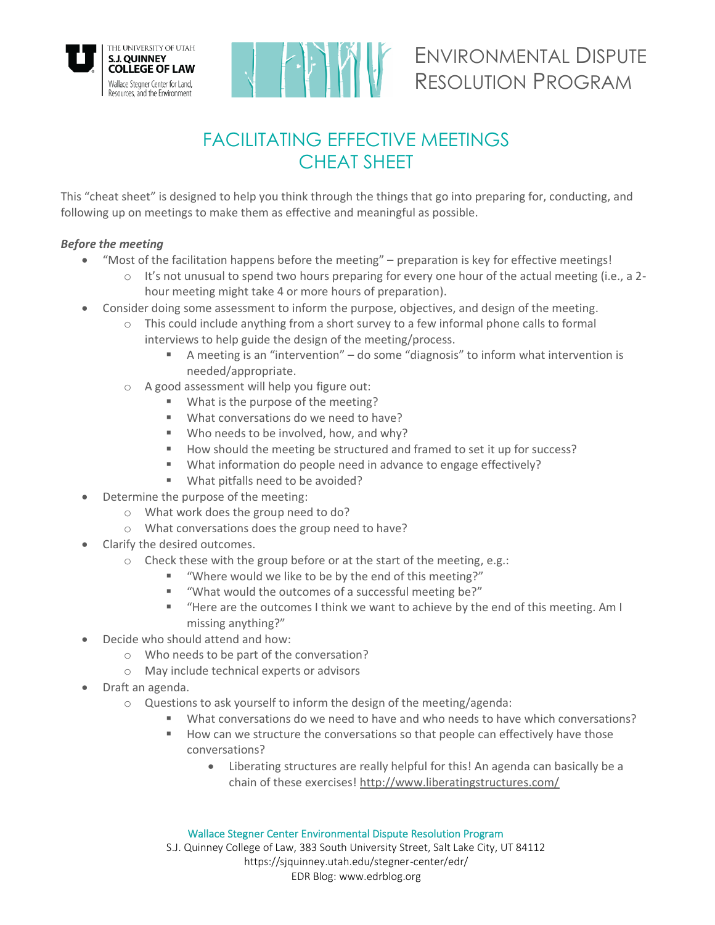

# FACILITATING EFFECTIVE MEETINGS CHEAT SHEET

This "cheat sheet" is designed to help you think through the things that go into preparing for, conducting, and following up on meetings to make them as effective and meaningful as possible.

## *Before the meeting*

- "Most of the facilitation happens before the meeting" preparation is key for effective meetings!
	- o It's not unusual to spend two hours preparing for every one hour of the actual meeting (i.e., a 2 hour meeting might take 4 or more hours of preparation).
- Consider doing some assessment to inform the purpose, objectives, and design of the meeting.
	- $\circ$  This could include anything from a short survey to a few informal phone calls to formal interviews to help guide the design of the meeting/process.
		- A meeting is an "intervention" do some "diagnosis" to inform what intervention is needed/appropriate.
	- o A good assessment will help you figure out:
		- What is the purpose of the meeting?
		- What conversations do we need to have?
		- Who needs to be involved, how, and why?
		- How should the meeting be structured and framed to set it up for success?
		- What information do people need in advance to engage effectively?
		- What pitfalls need to be avoided?
- Determine the purpose of the meeting:
	- o What work does the group need to do?
	- o What conversations does the group need to have?
- Clarify the desired outcomes.
	- o Check these with the group before or at the start of the meeting, e.g.:
		- "Where would we like to be by the end of this meeting?"
		- "What would the outcomes of a successful meeting be?"
		- "Here are the outcomes I think we want to achieve by the end of this meeting. Am I missing anything?"
- Decide who should attend and how:
	- o Who needs to be part of the conversation?
	- o May include technical experts or advisors
- Draft an agenda.
	- o Questions to ask yourself to inform the design of the meeting/agenda:
		- What conversations do we need to have and who needs to have which conversations?
		- How can we structure the conversations so that people can effectively have those conversations?
			- Liberating structures are really helpful for this! An agenda can basically be a chain of these exercises!<http://www.liberatingstructures.com/>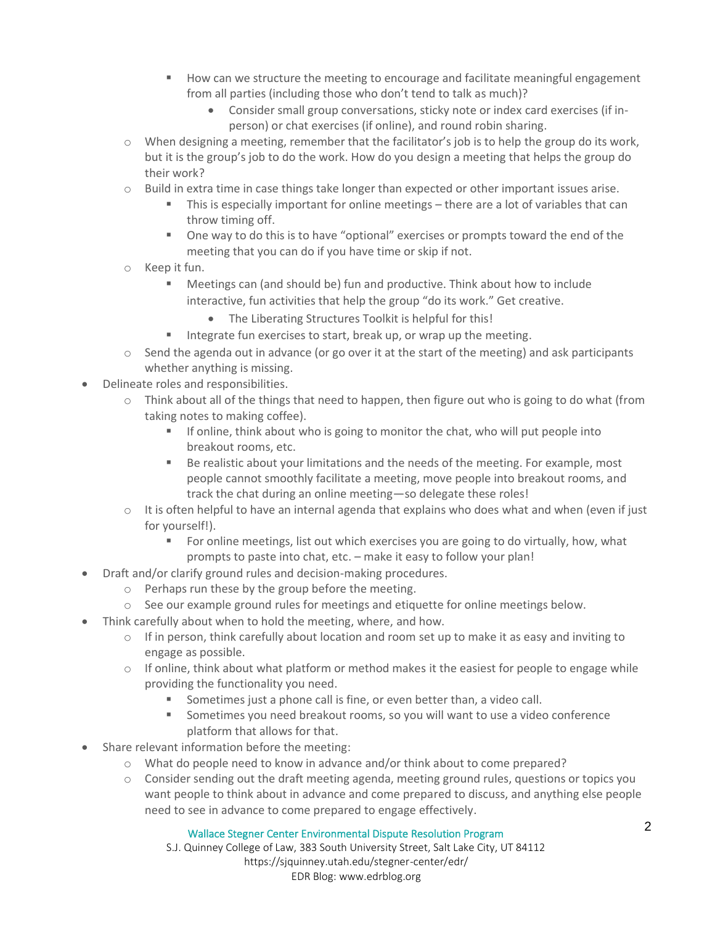- How can we structure the meeting to encourage and facilitate meaningful engagement from all parties (including those who don't tend to talk as much)?
	- Consider small group conversations, sticky note or index card exercises (if inperson) or chat exercises (if online), and round robin sharing.
- $\circ$  When designing a meeting, remember that the facilitator's job is to help the group do its work, but it is the group's job to do the work. How do you design a meeting that helps the group do their work?
- $\circ$  Build in extra time in case things take longer than expected or other important issues arise.
	- **This is especially important for online meetings there are a lot of variables that can** throw timing off.
	- One way to do this is to have "optional" exercises or prompts toward the end of the meeting that you can do if you have time or skip if not.
- o Keep it fun.
	- Meetings can (and should be) fun and productive. Think about how to include interactive, fun activities that help the group "do its work." Get creative.
		- The Liberating Structures Toolkit is helpful for this!
	- Integrate fun exercises to start, break up, or wrap up the meeting.
- $\circ$  Send the agenda out in advance (or go over it at the start of the meeting) and ask participants whether anything is missing.
- Delineate roles and responsibilities.
	- $\circ$  Think about all of the things that need to happen, then figure out who is going to do what (from taking notes to making coffee).
		- **•** If online, think about who is going to monitor the chat, who will put people into breakout rooms, etc.
		- Be realistic about your limitations and the needs of the meeting. For example, most people cannot smoothly facilitate a meeting, move people into breakout rooms, and track the chat during an online meeting—so delegate these roles!
	- $\circ$  It is often helpful to have an internal agenda that explains who does what and when (even if just for yourself!).
		- For online meetings, list out which exercises you are going to do virtually, how, what prompts to paste into chat, etc. – make it easy to follow your plan!
- Draft and/or clarify ground rules and decision-making procedures.
	- o Perhaps run these by the group before the meeting.
	- $\circ$  See our example ground rules for meetings and etiquette for online meetings below.
- Think carefully about when to hold the meeting, where, and how.
	- $\circ$  If in person, think carefully about location and room set up to make it as easy and inviting to engage as possible.
	- $\circ$  If online, think about what platform or method makes it the easiest for people to engage while providing the functionality you need.
		- Sometimes just a phone call is fine, or even better than, a video call.
		- Sometimes you need breakout rooms, so you will want to use a video conference platform that allows for that.
- Share relevant information before the meeting:
	- o What do people need to know in advance and/or think about to come prepared?
	- $\circ$  Consider sending out the draft meeting agenda, meeting ground rules, questions or topics you want people to think about in advance and come prepared to discuss, and anything else people need to see in advance to come prepared to engage effectively.

### Wallace Stegner Center Environmental Dispute Resolution Program

S.J. Quinney College of Law, 383 South University Street, Salt Lake City, UT 84112 https://sjquinney.utah.edu/stegner-center/edr/ EDR Blog: www.edrblog.org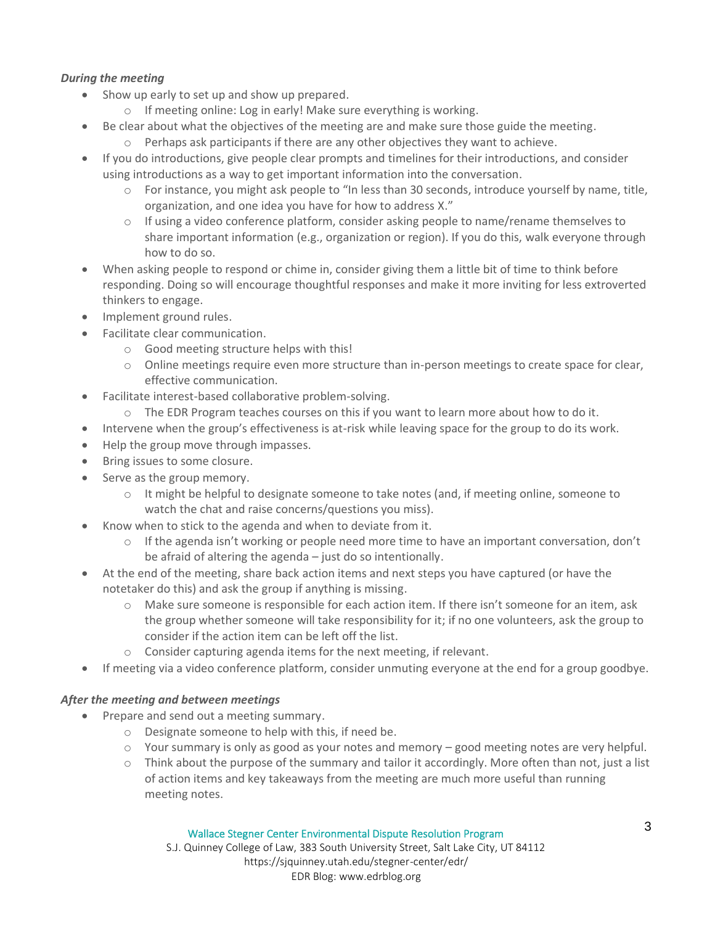## *During the meeting*

- Show up early to set up and show up prepared.
	- o If meeting online: Log in early! Make sure everything is working.
- Be clear about what the objectives of the meeting are and make sure those guide the meeting.
	- o Perhaps ask participants if there are any other objectives they want to achieve.
- If you do introductions, give people clear prompts and timelines for their introductions, and consider using introductions as a way to get important information into the conversation.
	- $\circ$  For instance, you might ask people to "In less than 30 seconds, introduce yourself by name, title, organization, and one idea you have for how to address X."
	- $\circ$  If using a video conference platform, consider asking people to name/rename themselves to share important information (e.g., organization or region). If you do this, walk everyone through how to do so.
- When asking people to respond or chime in, consider giving them a little bit of time to think before responding. Doing so will encourage thoughtful responses and make it more inviting for less extroverted thinkers to engage.
- Implement ground rules.
- Facilitate clear communication.
	- o Good meeting structure helps with this!
	- o Online meetings require even more structure than in-person meetings to create space for clear, effective communication.
- Facilitate interest-based collaborative problem-solving.
	- $\circ$  The EDR Program teaches courses on this if you want to learn more about how to do it.
- Intervene when the group's effectiveness is at-risk while leaving space for the group to do its work.
- Help the group move through impasses.
- Bring issues to some closure.
- Serve as the group memory.
	- o It might be helpful to designate someone to take notes (and, if meeting online, someone to watch the chat and raise concerns/questions you miss).
- Know when to stick to the agenda and when to deviate from it.
	- $\circ$  If the agenda isn't working or people need more time to have an important conversation, don't be afraid of altering the agenda – just do so intentionally.
- At the end of the meeting, share back action items and next steps you have captured (or have the notetaker do this) and ask the group if anything is missing.
	- o Make sure someone is responsible for each action item. If there isn't someone for an item, ask the group whether someone will take responsibility for it; if no one volunteers, ask the group to consider if the action item can be left off the list.
	- o Consider capturing agenda items for the next meeting, if relevant.
- If meeting via a video conference platform, consider unmuting everyone at the end for a group goodbye.

### *After the meeting and between meetings*

- Prepare and send out a meeting summary.
	- o Designate someone to help with this, if need be.
	- $\circ$  Your summary is only as good as your notes and memory good meeting notes are very helpful.
	- o Think about the purpose of the summary and tailor it accordingly. More often than not, just a list of action items and key takeaways from the meeting are much more useful than running meeting notes.

#### Wallace Stegner Center Environmental Dispute Resolution Program

S.J. Quinney College of Law, 383 South University Street, Salt Lake City, UT 84112 https://sjquinney.utah.edu/stegner-center/edr/ EDR Blog: www.edrblog.org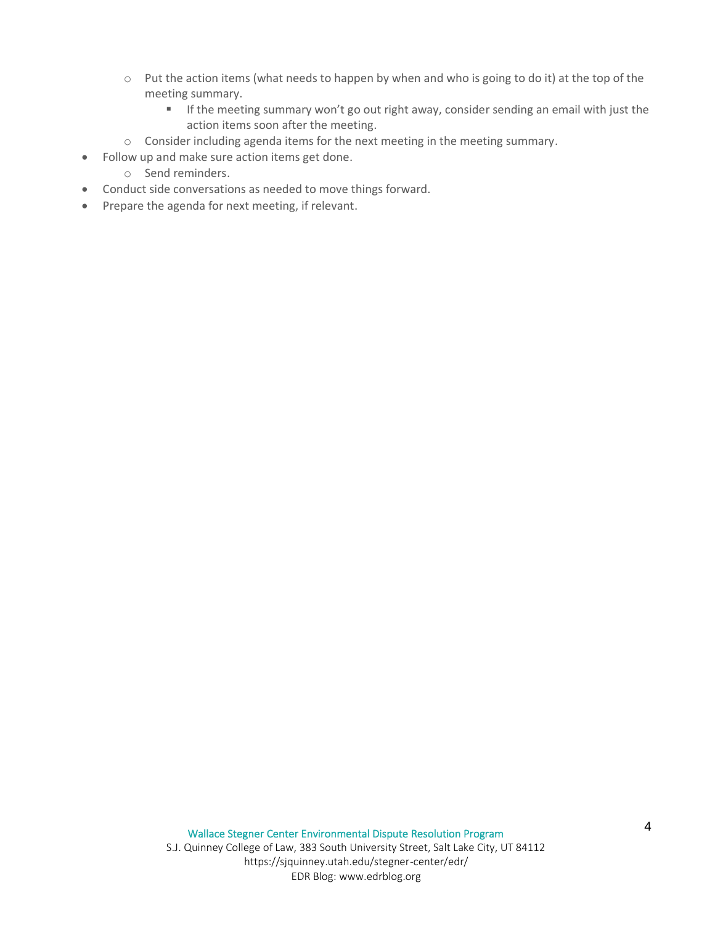- o Put the action items (what needs to happen by when and who is going to do it) at the top of the meeting summary.
	- **E** If the meeting summary won't go out right away, consider sending an email with just the action items soon after the meeting.
- o Consider including agenda items for the next meeting in the meeting summary.
- Follow up and make sure action items get done.
	- o Send reminders.
- Conduct side conversations as needed to move things forward.
- Prepare the agenda for next meeting, if relevant.